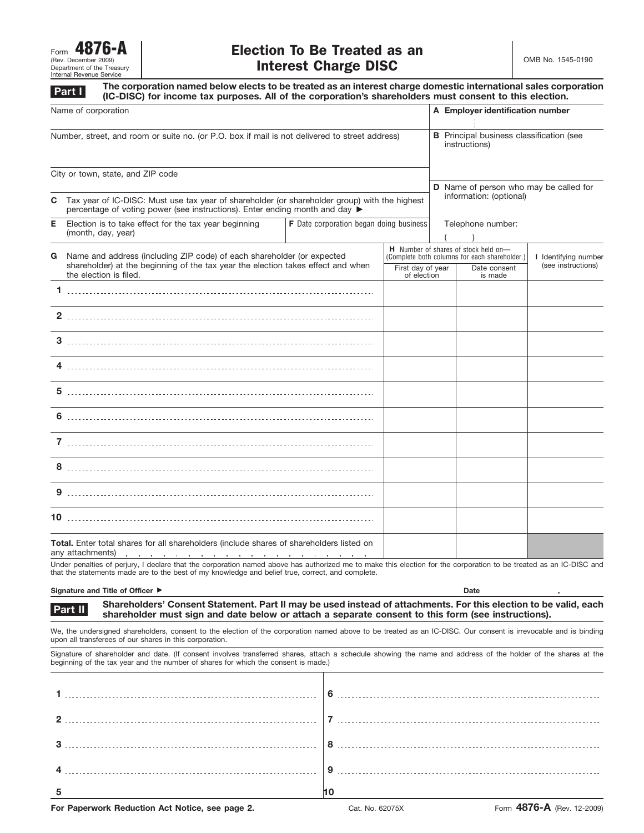| 4876-A<br>Form             |  |  |  |  |
|----------------------------|--|--|--|--|
| (Rev. December 2009)       |  |  |  |  |
| Department of the Treasury |  |  |  |  |
| Internal Revenue Service   |  |  |  |  |

**Part I**

**The corporation named below elects to be treated as an interest charge domestic international sales corporation (IC-DISC) for income tax purposes. All of the corporation's shareholders must consent to this election.**

| Name of corporation                                                                            |                                                                                                                                                                                                                                                                                                                                                |                                                                                                                                                                                                |                   | A Employer identification number                                 |                                                                                                                                                                       |  |  |
|------------------------------------------------------------------------------------------------|------------------------------------------------------------------------------------------------------------------------------------------------------------------------------------------------------------------------------------------------------------------------------------------------------------------------------------------------|------------------------------------------------------------------------------------------------------------------------------------------------------------------------------------------------|-------------------|------------------------------------------------------------------|-----------------------------------------------------------------------------------------------------------------------------------------------------------------------|--|--|
| Number, street, and room or suite no. (or P.O. box if mail is not delivered to street address) |                                                                                                                                                                                                                                                                                                                                                |                                                                                                                                                                                                |                   | <b>B</b> Principal business classification (see<br>instructions) |                                                                                                                                                                       |  |  |
|                                                                                                | City or town, state, and ZIP code                                                                                                                                                                                                                                                                                                              |                                                                                                                                                                                                |                   |                                                                  |                                                                                                                                                                       |  |  |
| C                                                                                              | Tax year of IC-DISC: Must use tax year of shareholder (or shareholder group) with the highest<br>percentage of voting power (see instructions). Enter ending month and day $\blacktriangleright$                                                                                                                                               |                                                                                                                                                                                                |                   |                                                                  | D Name of person who may be called for<br>information: (optional)                                                                                                     |  |  |
| Е                                                                                              | Election is to take effect for the tax year beginning<br>(month, day, year)                                                                                                                                                                                                                                                                    | <b>F</b> Date corporation began doing business                                                                                                                                                 | Telephone number: |                                                                  |                                                                                                                                                                       |  |  |
| G                                                                                              | the election is filed.                                                                                                                                                                                                                                                                                                                         | Name and address (including ZIP code) of each shareholder (or expected<br>shareholder) at the beginning of the tax year the election takes effect and when<br>First day of year<br>of election |                   |                                                                  | <b>H</b> Number of shares of stock held on-<br>(Complete both columns for each shareholder.)<br>I Identifying number<br>(see instructions)<br>Date consent<br>is made |  |  |
|                                                                                                |                                                                                                                                                                                                                                                                                                                                                |                                                                                                                                                                                                |                   |                                                                  |                                                                                                                                                                       |  |  |
|                                                                                                |                                                                                                                                                                                                                                                                                                                                                |                                                                                                                                                                                                |                   |                                                                  |                                                                                                                                                                       |  |  |
|                                                                                                |                                                                                                                                                                                                                                                                                                                                                |                                                                                                                                                                                                |                   |                                                                  |                                                                                                                                                                       |  |  |
|                                                                                                |                                                                                                                                                                                                                                                                                                                                                |                                                                                                                                                                                                |                   |                                                                  |                                                                                                                                                                       |  |  |
|                                                                                                |                                                                                                                                                                                                                                                                                                                                                |                                                                                                                                                                                                |                   |                                                                  |                                                                                                                                                                       |  |  |
|                                                                                                |                                                                                                                                                                                                                                                                                                                                                |                                                                                                                                                                                                |                   |                                                                  |                                                                                                                                                                       |  |  |
|                                                                                                |                                                                                                                                                                                                                                                                                                                                                |                                                                                                                                                                                                |                   |                                                                  |                                                                                                                                                                       |  |  |
|                                                                                                |                                                                                                                                                                                                                                                                                                                                                |                                                                                                                                                                                                |                   |                                                                  |                                                                                                                                                                       |  |  |
|                                                                                                |                                                                                                                                                                                                                                                                                                                                                |                                                                                                                                                                                                |                   |                                                                  |                                                                                                                                                                       |  |  |
|                                                                                                |                                                                                                                                                                                                                                                                                                                                                |                                                                                                                                                                                                |                   |                                                                  |                                                                                                                                                                       |  |  |
|                                                                                                | Total. Enter total shares for all shareholders (include shares of shareholders listed on<br>any attachments)<br>the contract of the contract of the contract of the contract of the contract of the contract of the contract of the contract of the contract of the contract of the contract of the contract of the contract of the contract o |                                                                                                                                                                                                |                   |                                                                  |                                                                                                                                                                       |  |  |

Under penalties of perjury, I declare that the corporation named above has authorized me to make this election for the corporation to be treated as an IC-DISC and that the statements made are to the best of my knowledge and belief true, correct, and complete.

Signature and Title of Officer  $\blacktriangleright$ 

**Date ,**

**Shareholders' Consent Statement. Part II may be used instead of attachments. For this election to be valid, each shareholder must sign and date below or attach a separate consent to this form (see instructions). Part II**

We, the undersigned shareholders, consent to the election of the corporation named above to be treated as an IC-DISC. Our consent is irrevocable and is binding upon all transferees of our shares in this corporation.

Signature of shareholder and date. (If consent involves transferred shares, attach a schedule showing the name and address of the holder of the shares at the beginning of the tax year and the number of shares for which the consent is made.)

|               | 6        |
|---------------|----------|
| $\mathcal{P}$ |          |
| $\mathbf{3}$  | <b>R</b> |
|               | $\Omega$ |
|               |          |